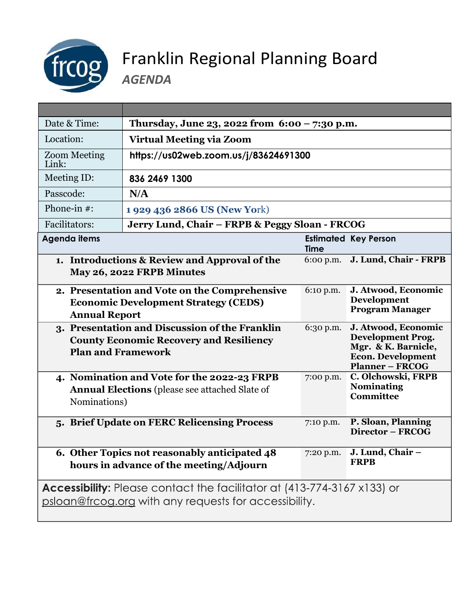

## Franklin Regional Planning Board

*AGENDA*

| Date & Time:                                                                                                                            | Thursday, June 23, 2022 from $6:00 - 7:30$ p.m.                                                      |             |                                                                                                                              |
|-----------------------------------------------------------------------------------------------------------------------------------------|------------------------------------------------------------------------------------------------------|-------------|------------------------------------------------------------------------------------------------------------------------------|
| Location:                                                                                                                               | <b>Virtual Meeting via Zoom</b>                                                                      |             |                                                                                                                              |
| <b>Zoom Meeting</b><br>Link:                                                                                                            | https://us02web.zoom.us/j/83624691300                                                                |             |                                                                                                                              |
| Meeting ID:                                                                                                                             | 836 2469 1300                                                                                        |             |                                                                                                                              |
| Passcode:                                                                                                                               | N/A                                                                                                  |             |                                                                                                                              |
| Phone-in $#$ :                                                                                                                          | 1 929 436 2866 US (New York)                                                                         |             |                                                                                                                              |
| Facilitators:                                                                                                                           | Jerry Lund, Chair - FRPB & Peggy Sloan - FRCOG                                                       |             |                                                                                                                              |
| <b>Agenda items</b>                                                                                                                     |                                                                                                      | <b>Time</b> | <b>Estimated Key Person</b>                                                                                                  |
|                                                                                                                                         | 1. Introductions & Review and Approval of the<br>May 26, 2022 FRPB Minutes                           | $6:00$ p.m. | J. Lund, Chair - FRPB                                                                                                        |
| <b>Annual Report</b>                                                                                                                    | 2. Presentation and Vote on the Comprehensive<br><b>Economic Development Strategy (CEDS)</b>         | 6:10 p.m.   | J. Atwood, Economic<br><b>Development</b><br><b>Program Manager</b>                                                          |
| <b>Plan and Framework</b>                                                                                                               | 3. Presentation and Discussion of the Franklin<br><b>County Economic Recovery and Resiliency</b>     | 6:30 p.m.   | J. Atwood, Economic<br><b>Development Prog.</b><br>Mgr. & K. Barnicle,<br><b>Econ. Development</b><br><b>Planner - FRCOG</b> |
| Nominations)                                                                                                                            | 4. Nomination and Vote for the 2022-23 FRPB<br><b>Annual Elections</b> (please see attached Slate of | 7:00 p.m.   | C. Olchowski, FRPB<br><b>Nominating</b><br><b>Committee</b>                                                                  |
|                                                                                                                                         | 5. Brief Update on FERC Relicensing Process                                                          | 7:10 p.m.   | P. Sloan, Planning<br>Director - FRCOG                                                                                       |
|                                                                                                                                         | 6. Other Topics not reasonably anticipated 48<br>hours in advance of the meeting/Adjourn             | 7:20 p.m.   | J. Lund, Chair -<br><b>FRPB</b>                                                                                              |
| <b>Accessibility:</b> Please contact the facilitator at (413-774-3167 x133) or<br>psloan@frcog.org with any requests for accessibility. |                                                                                                      |             |                                                                                                                              |